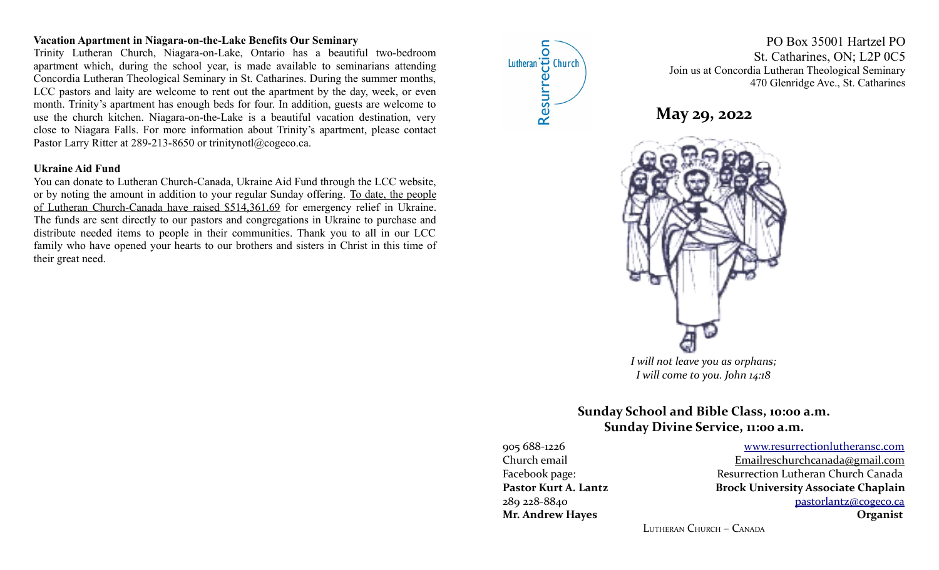## **Vacation Apartment in Niagara-on-the-Lake Benefits Our Seminary**

Trinity Lutheran Church, Niagara-on-Lake, Ontario has a beautiful two-bedroom apartment which, during the school year, is made available to seminarians attending Concordia Lutheran Theological Seminary in St. Catharines. During the summer months, LCC pastors and laity are welcome to rent out the apartment by the day, week, or even month. Trinity's apartment has enough beds for four. In addition, guests are welcome to use the church kitchen. Niagara-on-the-Lake is a beautiful vacation destination, very close to Niagara Falls. For more information about Trinity's apartment, please contact Pastor Larry Ritter at 289-213-8650 or trinitynotl@cogeco.ca.

#### **Ukraine Aid Fund**

You can donate to Lutheran Church-Canada, Ukraine Aid Fund through the LCC website, or by noting the amount in addition to your regular Sunday offering. To date, the people of Lutheran Church-Canada have raised \$514,361.69 for emergency relief in Ukraine. The funds are sent directly to our pastors and congregations in Ukraine to purchase and distribute needed items to people in their communities. Thank you to all in our LCC family who have opened your hearts to our brothers and sisters in Christ in this time of their great need.



PO Box 35001 Hartzel PO St. Catharines, ON; L2P 0C5 Join us at Concordia Lutheran Theological Seminary 470 Glenridge Ave., St. Catharines





*I will come to you. John 14:18*

# **Sunday School and Bible Class, 10:00 a.m. Sunday Divine Service, 11:00 a.m.**

905 688-1226 [www.resurrectionl utherans c.c om](http://www.resurrectionlc.ca/) Church email Emailreschur chcanada@gmail.com Facebook page: Resurrection Lutheran Church Canada Pastor Kurt A. Lantz **Brock University Associate Chaplain** 289 228-8840 [pastorlantz@cogeco.ca](mailto:pastorlantz@cogeco.ca) **Mr. Andrew Hayes Organist**

LUTHERAN CHURCH – CANADA